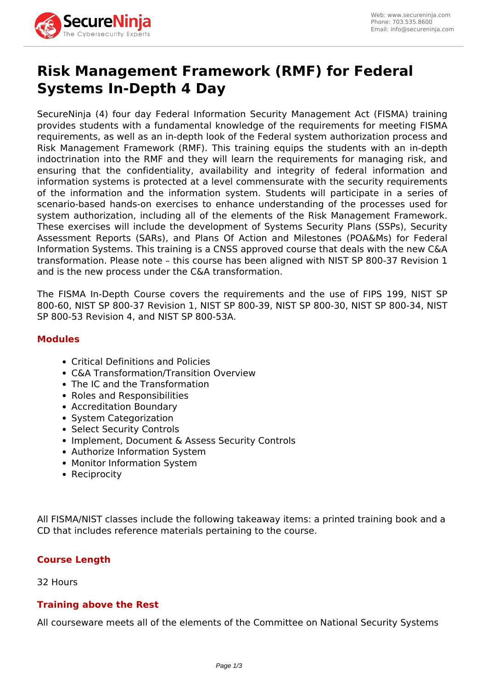

## **Risk Management Framework (RMF) for Federal Systems In-Depth 4 Day**

SecureNinja (4) four day Federal Information Security Management Act (FISMA) training provides students with a fundamental knowledge of the requirements for meeting FISMA requirements, as well as an in-depth look of the Federal system authorization process and Risk Management Framework (RMF). This training equips the students with an in-depth indoctrination into the RMF and they will learn the requirements for managing risk, and ensuring that the confidentiality, availability and integrity of federal information and information systems is protected at a level commensurate with the security requirements of the information and the information system. Students will participate in a series of scenario-based hands-on exercises to enhance understanding of the processes used for system authorization, including all of the elements of the Risk Management Framework. These exercises will include the development of Systems Security Plans (SSPs), Security Assessment Reports (SARs), and Plans Of Action and Milestones (POA&Ms) for Federal Information Systems. This training is a CNSS approved course that deals with the new C&A transformation. Please note – this course has been aligned with NIST SP 800-37 Revision 1 and is the new process under the C&A transformation.

The FISMA In-Depth Course covers the requirements and the use of FIPS 199, NIST SP 800-60, NIST SP 800-37 Revision 1, NIST SP 800-39, NIST SP 800-30, NIST SP 800-34, NIST SP 800-53 Revision 4, and NIST SP 800-53A.

## **Modules**

- Critical Definitions and Policies
- C&A Transformation/Transition Overview
- The IC and the Transformation
- Roles and Responsibilities
- Accreditation Boundary
- System Categorization
- Select Security Controls
- Implement, Document & Assess Security Controls
- Authorize Information System
- Monitor Information System
- Reciprocity

All FISMA/NIST classes include the following takeaway items: a printed training book and a CD that includes reference materials pertaining to the course.

## **Course Length**

32 Hours

## **Training above the Rest**

All courseware meets all of the elements of the Committee on National Security Systems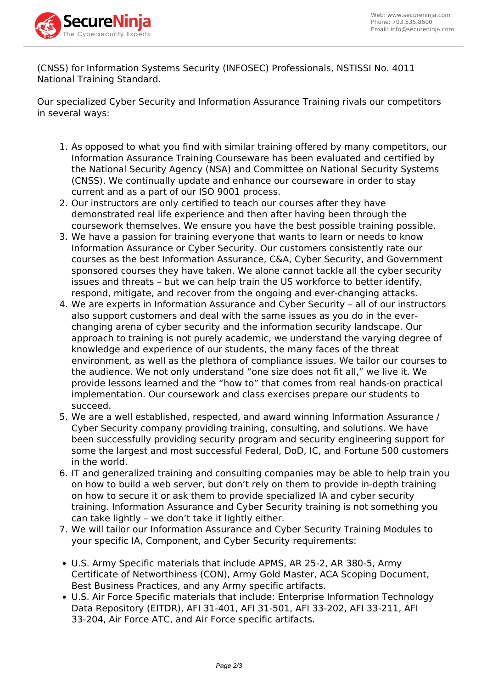

(CNSS) for Information Systems Security (INFOSEC) Professionals, NSTISSI No. 4011 National Training Standard.

Our specialized Cyber Security and Information Assurance Training rivals our competitors in several ways:

- 1. As opposed to what you find with similar training offered by many competitors, our Information Assurance Training Courseware has been evaluated and certified by the National Security Agency (NSA) and Committee on National Security Systems (CNSS). We continually update and enhance our courseware in order to stay current and as a part of our ISO 9001 process.
- 2. Our instructors are only certified to teach our courses after they have demonstrated real life experience and then after having been through the coursework themselves. We ensure you have the best possible training possible.
- 3. We have a passion for training everyone that wants to learn or needs to know Information Assurance or Cyber Security. Our customers consistently rate our courses as the best Information Assurance, C&A, Cyber Security, and Government sponsored courses they have taken. We alone cannot tackle all the cyber security issues and threats – but we can help train the US workforce to better identify, respond, mitigate, and recover from the ongoing and ever-changing attacks.
- 4. We are experts in Information Assurance and Cyber Security all of our instructors also support customers and deal with the same issues as you do in the everchanging arena of cyber security and the information security landscape. Our approach to training is not purely academic, we understand the varying degree of knowledge and experience of our students, the many faces of the threat environment, as well as the plethora of compliance issues. We tailor our courses to the audience. We not only understand "one size does not fit all," we live it. We provide lessons learned and the "how to" that comes from real hands-on practical implementation. Our coursework and class exercises prepare our students to succeed.
- 5. We are a well established, respected, and award winning Information Assurance / Cyber Security company providing training, consulting, and solutions. We have been successfully providing security program and security engineering support for some the largest and most successful Federal, DoD, IC, and Fortune 500 customers in the world.
- 6. IT and generalized training and consulting companies may be able to help train you on how to build a web server, but don't rely on them to provide in-depth training on how to secure it or ask them to provide specialized IA and cyber security training. Information Assurance and Cyber Security training is not something you can take lightly – we don't take it lightly either.
- 7. We will tailor our Information Assurance and Cyber Security Training Modules to your specific IA, Component, and Cyber Security requirements:
- U.S. Army Specific materials that include APMS, AR 25-2, AR 380-5, Army Certificate of Networthiness (CON), Army Gold Master, ACA Scoping Document, Best Business Practices, and any Army specific artifacts.
- U.S. Air Force Specific materials that include: Enterprise Information Technology Data Repository (EITDR), AFI 31-401, AFI 31-501, AFI 33-202, AFI 33-211, AFI 33-204, Air Force ATC, and Air Force specific artifacts.